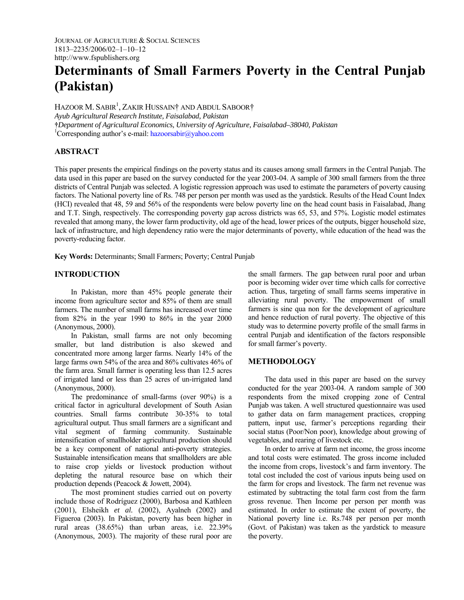# **Determinants of Small Farmers Poverty in the Central Punjab (Pakistan)**

Hazoor M. Sabir<sup>1</sup>, Zakir Hussain† and Abdul Saboor† *Ayub Agricultural Research Institute, Faisalabad, Pakistan*  **†***Department of Agricultural Economics, University of Agriculture, Faisalabad–38040, Pakistan* 

<sup>1</sup>Corresponding author's e-mail: hazoorsabir@yahoo.com

# **ABSTRACT**

This paper presents the empirical findings on the poverty status and its causes among small farmers in the Central Punjab. The data used in this paper are based on the survey conducted for the year 2003-04. A sample of 300 small farmers from the three districts of Central Punjab was selected. A logistic regression approach was used to estimate the parameters of poverty causing factors. The National poverty line of Rs. 748 per person per month was used as the yardstick. Results of the Head Count Index (HCI) revealed that 48, 59 and 56% of the respondents were below poverty line on the head count basis in Faisalabad, Jhang and T.T. Singh, respectively. The corresponding poverty gap across districts was 65, 53, and 57%. Logistic model estimates revealed that among many, the lower farm productivity, old age of the head, lower prices of the outputs, bigger household size, lack of infrastructure, and high dependency ratio were the major determinants of poverty, while education of the head was the poverty-reducing factor.

**Key Words:** Determinants; Small Farmers; Poverty; Central Punjab

## **INTRODUCTION**

In Pakistan, more than 45% people generate their income from agriculture sector and 85% of them are small farmers. The number of small farms has increased over time from 82% in the year 1990 to 86% in the year 2000 (Anonymous, 2000).

In Pakistan, small farms are not only becoming smaller, but land distribution is also skewed and concentrated more among larger farms. Nearly 14% of the large farms own 54% of the area and 86% cultivates 46% of the farm area. Small farmer is operating less than 12.5 acres of irrigated land or less than 25 acres of un-irrigated land (Anonymous, 2000).

The predominance of small-farms (over 90%) is a critical factor in agricultural development of South Asian countries. Small farms contribute 30-35% to total agricultural output. Thus small farmers are a significant and vital segment of farming community. Sustainable intensification of smallholder agricultural production should be a key component of national anti-poverty strategies. Sustainable intensification means that smallholders are able to raise crop yields or livestock production without depleting the natural resource base on which their production depends (Peacock & Jowett, 2004).

The most prominent studies carried out on poverty include those of Rodríguez (2000), Barbosa and Kathleen (2001), Elsheikh *et al.* (2002), Ayalneh (2002) and Figueroa (2003). In Pakistan, poverty has been higher in rural areas (38.65%) than urban areas, i.e. 22.39% (Anonymous, 2003). The majority of these rural poor are

the small farmers. The gap between rural poor and urban poor is becoming wider over time which calls for corrective action. Thus, targeting of small farms seems imperative in alleviating rural poverty. The empowerment of small farmers is sine qua non for the development of agriculture and hence reduction of rural poverty. The objective of this study was to determine poverty profile of the small farms in central Punjab and identification of the factors responsible for small farmer's poverty.

## **METHODOLOGY**

The data used in this paper are based on the survey conducted for the year 2003-04. A random sample of 300 respondents from the mixed cropping zone of Central Punjab was taken. A well structured questionnaire was used to gather data on farm management practices, cropping pattern, input use, farmer's perceptions regarding their social status (Poor/Non poor), knowledge about growing of vegetables, and rearing of livestock etc.

In order to arrive at farm net income, the gross income and total costs were estimated. The gross income included the income from crops, livestock's and farm inventory. The total cost included the cost of various inputs being used on the farm for crops and livestock. The farm net revenue was estimated by subtracting the total farm cost from the farm gross revenue. Then Income per person per month was estimated. In order to estimate the extent of poverty, the National poverty line i.e. Rs.748 per person per month (Govt. of Pakistan) was taken as the yardstick to measure the poverty.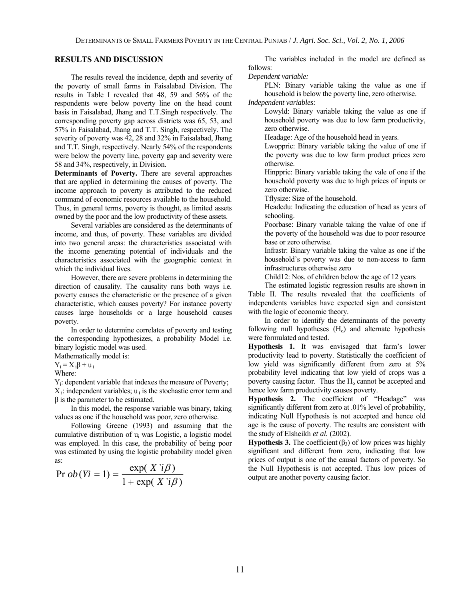## **RESULTS AND DISCUSSION**

The results reveal the incidence, depth and severity of the poverty of small farms in Faisalabad Division. The results in Table I revealed that 48, 59 and 56% of the respondents were below poverty line on the head count basis in Faisalabad, Jhang and T.T.Singh respectively. The corresponding poverty gap across districts was 65, 53, and 57% in Faisalabad, Jhang and T.T. Singh, respectively. The severity of poverty was 42, 28 and 32% in Faisalabad, Jhang and T.T. Singh, respectively. Nearly 54% of the respondents were below the poverty line, poverty gap and severity were 58 and 34%, respectively, in Division.

**Determinants of Poverty.** There are several approaches that are applied in determining the causes of poverty. The income approach to poverty is attributed to the reduced command of economic resources available to the household. Thus, in general terms, poverty is thought, as limited assets owned by the poor and the low productivity of these assets.

Several variables are considered as the determinants of income, and thus, of poverty. These variables are divided into two general areas: the characteristics associated with the income generating potential of individuals and the characteristics associated with the geographic context in which the individual lives.

However, there are severe problems in determining the direction of causality. The causality runs both ways i.e. poverty causes the characteristic or the presence of a given characteristic, which causes poverty? For instance poverty causes large households or a large household causes poverty.

In order to determine correlates of poverty and testing the corresponding hypothesizes, a probability Model i.e. binary logistic model was used.

Mathematically model is:

 $Y_i = X_i \beta + u_i$ 

Where:

Yi: dependent variable that indexes the measure of Poverty;  $X_i$ : independent variables;  $u_i$  is the stochastic error term and  $β$  is the parameter to be estimated.

In this model, the response variable was binary, taking values as one if the household was poor, zero otherwise.

Following Greene (1993) and assuming that the cumulative distribution of ui was Logistic, a logistic model was employed. In this case, the probability of being poor was estimated by using the logistic probability model given as:

$$
\Pr{ob(Yi=1)} = \frac{\exp(X \text{ } i\beta)}{1 + \exp(X \text{ } i\beta)}
$$

The variables included in the model are defined as follows:

*Dependent variable:* 

PLN: Binary variable taking the value as one if household is below the poverty line, zero otherwise. *Independent variables:* 

Lowyld: Binary variable taking the value as one if household poverty was due to low farm productivity, zero otherwise.

Headage: Age of the household head in years.

Lwoppric: Binary variable taking the value of one if the poverty was due to low farm product prices zero otherwise.

Hinppric: Binary variable taking the vale of one if the household poverty was due to high prices of inputs or zero otherwise.

Tflysize: Size of the household.

Headedu: Indicating the education of head as years of schooling.

Poorbase: Binary variable taking the value of one if the poverty of the household was due to poor resource base or zero otherwise.

Infrastr: Binary variable taking the value as one if the household's poverty was due to non-access to farm infrastructures otherwise zero

Child12: Nos. of children below the age of 12 years

The estimated logistic regression results are shown in Table II. The results revealed that the coefficients of independents variables have expected sign and consistent with the logic of economic theory.

In order to identify the determinants of the poverty following null hypotheses  $(H<sub>o</sub>)$  and alternate hypothesis were formulated and tested.

**Hypothesis 1.** It was envisaged that farm's lower productivity lead to poverty. Statistically the coefficient of low yield was significantly different from zero at  $5\%$ probability level indicating that low yield of crops was a poverty causing factor. Thus the  $H_0$  cannot be accepted and hence low farm productivity causes poverty.

**Hypothesis 2.** The coefficient of "Headage" was significantly different from zero at .01% level of probability, indicating Null Hypothesis is not accepted and hence old age is the cause of poverty. The results are consistent with the study of Elsheikh *et al.* (2002).

**Hypothesis 3.** The coefficient  $(\beta_3)$  of low prices was highly significant and different from zero, indicating that low prices of output is one of the causal factors of poverty. So the Null Hypothesis is not accepted. Thus low prices of output are another poverty causing factor.